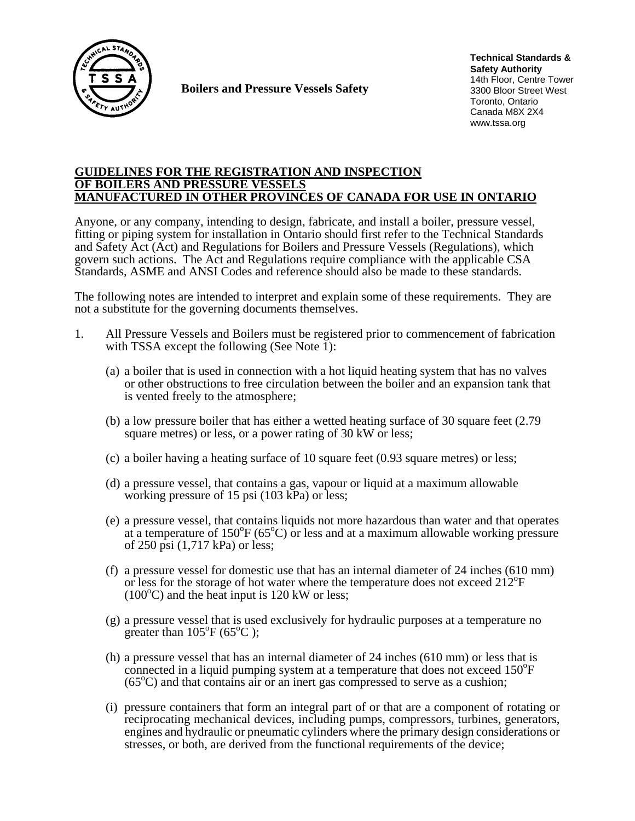

**Boilers and Pressure Vessels Safety** 

**Technical Standards & Safety Authority** 14th Floor, Centre Tower 3300 Bloor Street West Toronto, Ontario Canada M8X 2X4 www.tssa.org

### **GUIDELINES FOR THE REGISTRATION AND INSPECTION OF BOILERS AND PRESSURE VESSELS MANUFACTURED IN OTHER PROVINCES OF CANADA FOR USE IN ONTARIO**

Anyone, or any company, intending to design, fabricate, and install a boiler, pressure vessel, fitting or piping system for installation in Ontario should first refer to the Technical Standards and Safety Act (Act) and Regulations for Boilers and Pressure Vessels (Regulations), which govern such actions. The Act and Regulations require compliance with the applicable CSA Standards, ASME and ANSI Codes and reference should also be made to these standards.

The following notes are intended to interpret and explain some of these requirements. They are not a substitute for the governing documents themselves.

- 1. All Pressure Vessels and Boilers must be registered prior to commencement of fabrication
	- with TSSA except the following (See Note 1):<br>(a) a boiler that is used in connection with a hot liquid heating system that has no valves or other obstructions to free circulation between the boiler and an expansion tank that is vented freely to the atmosphere;
	- (b) a low pressure boiler that has either a wetted heating surface of 30 square feet (2.79 square metres) or less, or a power rating of 30 kW or less;
	- (c) a boiler having a heating surface of 10 square feet (0.93 square metres) or less;
	- (d) a pressure vessel, that contains a gas, vapour or liquid at a maximum allowable working pressure of 15 psi (103 kPa) or less;
	- (e) a pressure vessel, that contains liquids not more hazardous than water and that operates at a temperature of  $150^{\circ}F (65^{\circ}C)$  or less and at a maximum allowable working pressure of 250 psi (1,717 kPa) or less;
	- (f) a pressure vessel for domestic use that has an internal diameter of 24 inches (610 mm) or less for the storage of hot water where the temperature does not exceed 212<sup>o</sup>F  $(100^{\circ}$ C) and the heat input is 120 kW or less;
	- (g) a pressure vessel that is used exclusively for hydraulic purposes at a temperature no greater than  $105^{\circ}F(65^{\circ}C)$ ;
	- (h) a pressure vessel that has an internal diameter of 24 inches (610 mm) or less that is connected in a liquid pumping system at a temperature that does not exceed 150°F  $(65^{\circ}$ C) and that contains air or an inert gas compressed to serve as a cushion;
	- (i) pressure containers that form an integral part of or that are a component of rotating or reciprocating mechanical devices, including pumps, compressors, turbines, generators, engines and hydraulic or pneumatic cylinders where the primary design considerations or stresses, or both, are derived from the functional requirements of the device;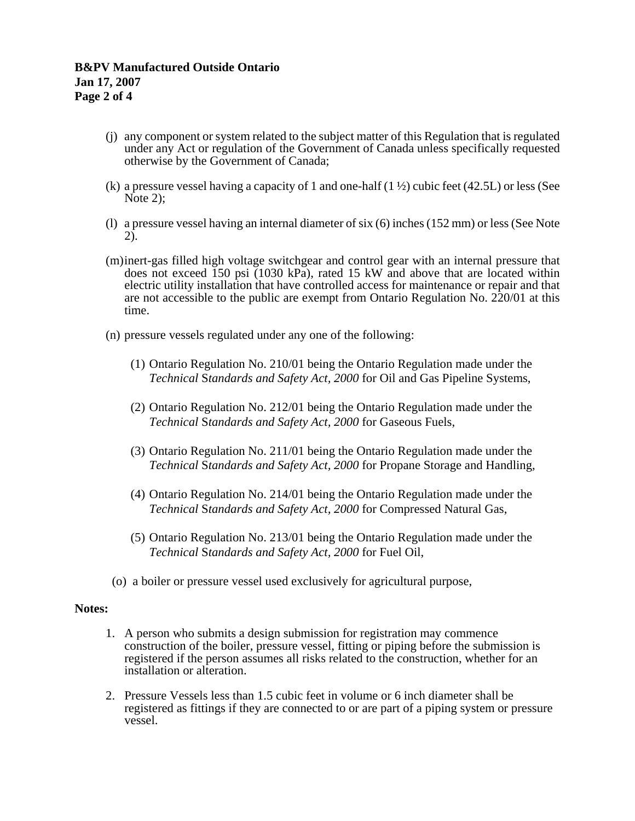- (j) any component or system related to the subject matter of this Regulation that is regulated under any Act or regulation of the Government of Canada unless specifically requested otherwise by the Government of Canada;
- (k) a pressure vessel having a capacity of 1 and one-half  $(1 \frac{1}{2})$  cubic feet (42.5L) or less (See Note 2);
- (l) a pressure vessel having an internal diameter of six (6) inches (152 mm) or less (See Note 2).
- (m) inert-gas filled high voltage switchgear and control gear with an internal pressure that does not exceed  $\overline{150}$  psi (1030 kPa), rated 15 kW and above that are located within electric utility installation that have controlled access for maintenance or repair and that are not accessible to the public are exempt from Ontario Regulation No. 220/01 at this time.
- (n) pressure vessels regulated under any one of the following:
	- (1) Ontario Regulation No. 210/01 being the Ontario Regulation made under the *Technical* S*tandards and Safety Act, 2000* for Oil and Gas Pipeline Systems,
	- (2) Ontario Regulation No. 212/01 being the Ontario Regulation made under the *Technical* S*tandards and Safety Act, 2000* for Gaseous Fuels,
	- (3) Ontario Regulation No. 211/01 being the Ontario Regulation made under the *Technical* S*tandards and Safety Act, 2000* for Propane Storage and Handling,
	- (4) Ontario Regulation No. 214/01 being the Ontario Regulation made under the *Technical* S*tandards and Safety Act, 2000* for Compressed Natural Gas,
	- (5) Ontario Regulation No. 213/01 being the Ontario Regulation made under the *Technical* S*tandards and Safety Act, 2000* for Fuel Oil,
- (o) a boiler or pressure vessel used exclusively for agricultural purpose,

### **Notes:**

- 1. A person who submits a design submission for registration may commence construction of the boiler, pressure vessel, fitting or piping before the submission is registered if the person assumes all risks related to the construction, whether for an installation or alteration.
- 2. Pressure Vessels less than 1.5 cubic feet in volume or 6 inch diameter shall be registered as fittings if they are connected to or are part of a piping system or pressure vessel.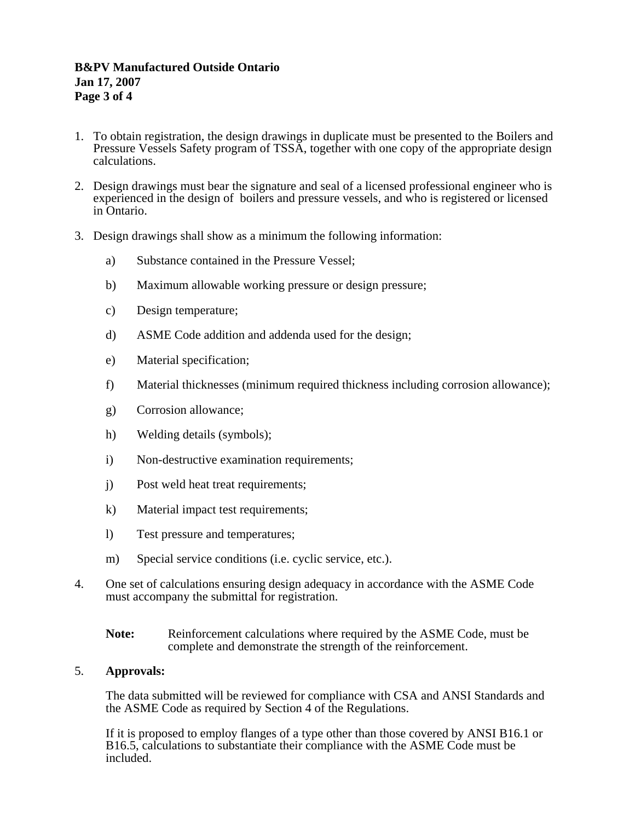# **B&PV Manufactured Outside Ontario Jan 17, 2007 Page 3 of 4**

- 1. To obtain registration, the design drawings in duplicate must be presented to the Boilers and Pressure Vessels Safety program of TSSA, together with one copy of the appropriate design calculations.
- 2. Design drawings must bear the signature and seal of a licensed professional engineer who is experienced in the design of boilers and pressure vessels, and who is registered or licensed in Ontario.
- 3. Design drawings shall show as a minimum the following information:
	- a) Substance contained in the Pressure Vessel;
	- b) Maximum allowable working pressure or design pressure;
	- c) Design temperature;
	- d) ASME Code addition and addenda used for the design;
	- e) Material specification;
	- f) Material thicknesses (minimum required thickness including corrosion allowance);
	- g) Corrosion allowance;
	- h) Welding details (symbols);
	- i) Non-destructive examination requirements;
	- j) Post weld heat treat requirements;
	- k) Material impact test requirements;
	- l) Test pressure and temperatures;
	- m) Special service conditions (i.e. cyclic service, etc.).
- 4. One set of calculations ensuring design adequacy in accordance with the ASME Code must accompany the submittal for registration.
	- **Note:** Reinforcement calculations where required by the ASME Code, must be complete and demonstrate the strength of the reinforcement.

### 5. **Approvals:**

The data submitted will be reviewed for compliance with CSA and ANSI Standards and the ASME Code as required by Section 4 of the Regulations.

If it is proposed to employ flanges of a type other than those covered by ANSI B16.1 or B16.5, calculations to substantiate their compliance with the ASME Code must be included.